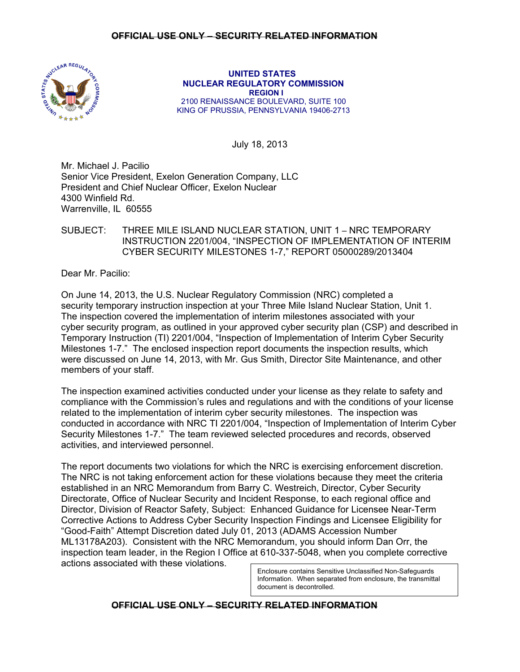

 **UNITED STATES NUCLEAR REGULATORY COMMISSION REGION I**  2100 RENAISSANCE BOULEVARD, SUITE 100 KING OF PRUSSIA, PENNSYLVANIA 19406-2713

July 18, 2013

Mr. Michael J. Pacilio Senior Vice President, Exelon Generation Company, LLC President and Chief Nuclear Officer, Exelon Nuclear 4300 Winfield Rd. Warrenville, IL 60555

# SUBJECT: THREE MILE ISLAND NUCLEAR STATION, UNIT 1 – NRC TEMPORARY INSTRUCTION 2201/004, "INSPECTION OF IMPLEMENTATION OF INTERIM CYBER SECURITY MILESTONES 1-7," REPORT 05000289/2013404

Dear Mr. Pacilio:

On June 14, 2013, the U.S. Nuclear Regulatory Commission (NRC) completed a security temporary instruction inspection at your Three Mile Island Nuclear Station, Unit 1. The inspection covered the implementation of interim milestones associated with your cyber security program, as outlined in your approved cyber security plan (CSP) and described in Temporary Instruction (TI) 2201/004, "Inspection of Implementation of Interim Cyber Security Milestones 1-7." The enclosed inspection report documents the inspection results, which were discussed on June 14, 2013, with Mr. Gus Smith, Director Site Maintenance, and other members of your staff.

The inspection examined activities conducted under your license as they relate to safety and compliance with the Commission's rules and regulations and with the conditions of your license related to the implementation of interim cyber security milestones. The inspection was conducted in accordance with NRC TI 2201/004, "Inspection of Implementation of Interim Cyber Security Milestones 1-7." The team reviewed selected procedures and records, observed activities, and interviewed personnel.

The report documents two violations for which the NRC is exercising enforcement discretion. The NRC is not taking enforcement action for these violations because they meet the criteria established in an NRC Memorandum from Barry C. Westreich, Director, Cyber Security Directorate, Office of Nuclear Security and Incident Response, to each regional office and Director, Division of Reactor Safety, Subject: Enhanced Guidance for Licensee Near-Term Corrective Actions to Address Cyber Security Inspection Findings and Licensee Eligibility for "Good-Faith" Attempt Discretion dated July 01, 2013 (ADAMS Accession Number ML13178A203). Consistent with the NRC Memorandum, you should inform Dan Orr, the inspection team leader, in the Region I Office at 610-337-5048, when you complete corrective actions associated with these violations.

> Enclosure contains Sensitive Unclassified Non-Safeguards Information. When separated from enclosure, the transmittal document is decontrolled.

## **OFFICIAL USE ONLY – SECURITY RELATED INFORMATION**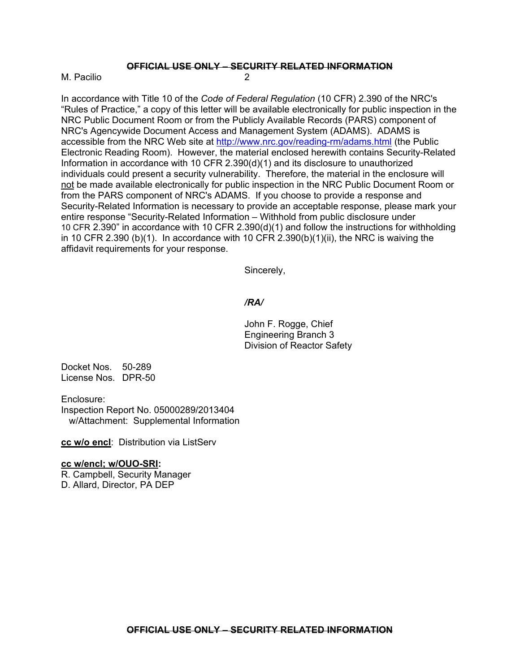## **OFFICIAL USE ONLY – SECURITY RELATED INFORMATION**

M. Pacilio 2

In accordance with Title 10 of the *Code of Federal Regulation* (10 CFR) 2.390 of the NRC's "Rules of Practice," a copy of this letter will be available electronically for public inspection in the NRC Public Document Room or from the Publicly Available Records (PARS) component of NRC's Agencywide Document Access and Management System (ADAMS). ADAMS is accessible from the NRC Web site at http://www.nrc.gov/reading-rm/adams.html (the Public Electronic Reading Room). However, the material enclosed herewith contains Security-Related Information in accordance with 10 CFR 2.390(d)(1) and its disclosure to unauthorized individuals could present a security vulnerability. Therefore, the material in the enclosure will not be made available electronically for public inspection in the NRC Public Document Room or from the PARS component of NRC's ADAMS. If you choose to provide a response and Security-Related Information is necessary to provide an acceptable response, please mark your entire response "Security-Related Information – Withhold from public disclosure under 10 CFR 2.390" in accordance with 10 CFR 2.390(d)(1) and follow the instructions for withholding in 10 CFR 2.390 (b)(1). In accordance with 10 CFR 2.390(b)(1)(ii), the NRC is waiving the affidavit requirements for your response.

Sincerely,

#### */RA/*

John F. Rogge, Chief Engineering Branch 3 Division of Reactor Safety

Docket Nos. 50-289 License Nos. DPR-50

Enclosure:

Inspection Report No. 05000289/2013404 w/Attachment: Supplemental Information

**cc w/o encl**: Distribution via ListServ

#### **cc w/encl; w/OUO-SRI:**

R. Campbell, Security Manager D. Allard, Director, PA DEP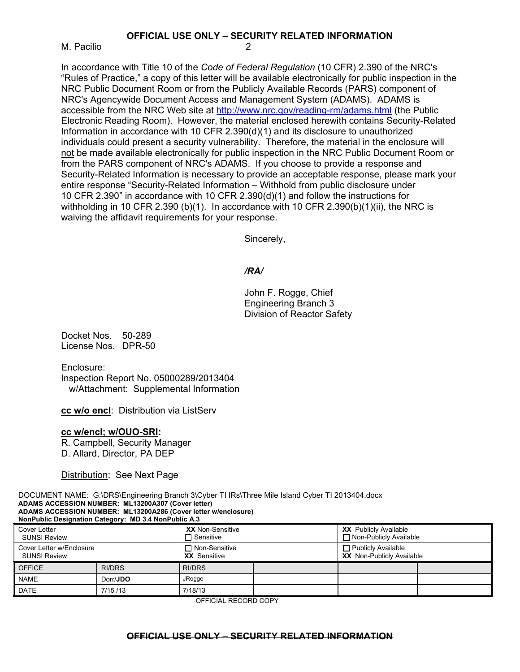**OFFICIAL USE ONLY – SECURITY RELATED INFORMATION**

M. Pacilio

In accordance with Title 10 of the *Code of Federal Regulation* (10 CFR) 2.390 of the NRC's "Rules of Practice," a copy of this letter will be available electronically for public inspection in the NRC Public Document Room or from the Publicly Available Records (PARS) component of NRC's Agencywide Document Access and Management System (ADAMS). ADAMS is accessible from the NRC Web site at http://www.nrc.gov/reading-rm/adams.html (the Public Electronic Reading Room). However, the material enclosed herewith contains Security-Related Information in accordance with 10 CFR 2.390(d)(1) and its disclosure to unauthorized individuals could present a security vulnerability. Therefore, the material in the enclosure will not be made available electronically for public inspection in the NRC Public Document Room or from the PARS component of NRC's ADAMS. If you choose to provide a response and Security-Related Information is necessary to provide an acceptable response, please mark your entire response "Security-Related Information – Withhold from public disclosure under 10 CFR 2.390" in accordance with 10 CFR 2.390(d)(1) and follow the instructions for withholding in 10 CFR 2.390 (b)(1). In accordance with 10 CFR 2.390(b)(1)(ii), the NRC is waiving the affidavit requirements for your response.

Sincerely,

## */RA/*

John F. Rogge, Chief Engineering Branch 3 Division of Reactor Safety

Docket Nos. 50-289 License Nos. DPR-50

Enclosure: Inspection Report No. 05000289/2013404 w/Attachment: Supplemental Information

**cc w/o encl**: Distribution via ListServ

#### **cc w/encl; w/OUO-SRI:**

R. Campbell, Security Manager D. Allard, Director, PA DEP

Distribution: See Next Page

DOCUMENT NAME: G:\DRS\Engineering Branch 3\Cyber TI IRs\Three Mile Island Cyber TI 2013404.docx **ADAMS ACCESSION NUMBER: ML13200A307 (Cover letter) ADAMS ACCESSION NUMBER: ML13200A286 (Cover letter w/enclosure) NonPublic Designation Category: MD 3.4 NonPublic A.3**

| Cover Letter<br><b>SUNSI Review</b>             |               | <b>XX</b> Non-Sensitive<br>$\Box$ Sensitive |  | <b>XX</b> Publicly Available<br>$\Box$ Non-Publicly Available |  |
|-------------------------------------------------|---------------|---------------------------------------------|--|---------------------------------------------------------------|--|
| Cover Letter w/Enclosure<br><b>SUNSI Review</b> |               | $\Box$ Non-Sensitive<br><b>XX</b> Sensitive |  | $\Box$ Publicly Available<br><b>XX</b> Non-Publicly Available |  |
| <b>OFFICE</b>                                   | <b>RI/DRS</b> | <b>RI/DRS</b>                               |  |                                                               |  |
| <b>NAME</b>                                     | Dorr/JDO      | <b>JRogge</b>                               |  |                                                               |  |
| <b>DATE</b>                                     | 7/15/13       | 7/18/13                                     |  |                                                               |  |

OFFICIAL RECORD COPY